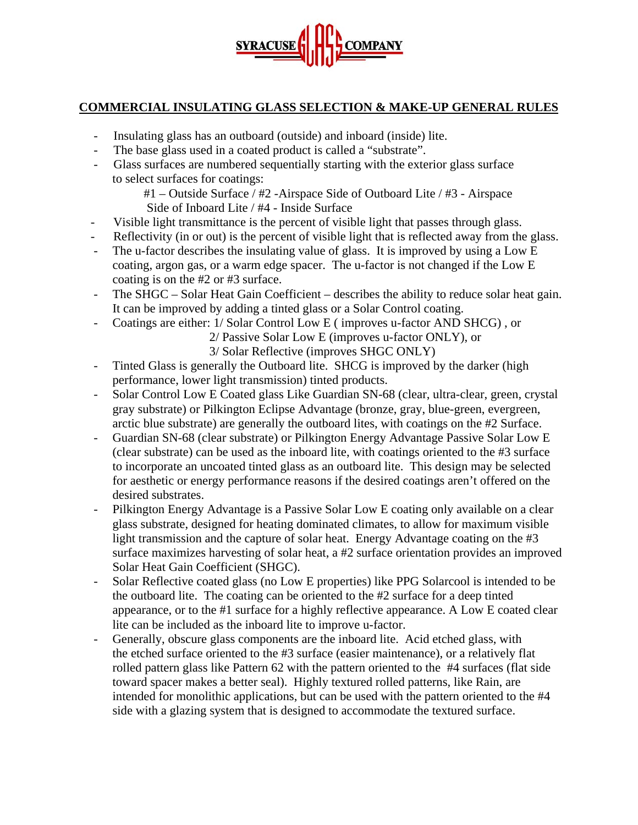

## **COMMERCIAL INSULATING GLASS SELECTION & MAKE-UP GENERAL RULES**

- Insulating glass has an outboard (outside) and inboard (inside) lite.
- The base glass used in a coated product is called a "substrate".
- Glass surfaces are numbered sequentially starting with the exterior glass surface to select surfaces for coatings:

 #1 – Outside Surface / #2 -Airspace Side of Outboard Lite / #3 - Airspace Side of Inboard Lite / #4 - Inside Surface

- Visible light transmittance is the percent of visible light that passes through glass.
- Reflectivity (in or out) is the percent of visible light that is reflected away from the glass.
- The u-factor describes the insulating value of glass. It is improved by using a Low E coating, argon gas, or a warm edge spacer. The u-factor is not changed if the Low E coating is on the #2 or #3 surface.
- The SHGC Solar Heat Gain Coefficient describes the ability to reduce solar heat gain. It can be improved by adding a tinted glass or a Solar Control coating.
- Coatings are either: 1/ Solar Control Low E ( improves u-factor AND SHCG) , or

2/ Passive Solar Low E (improves u-factor ONLY), or

3/ Solar Reflective (improves SHGC ONLY)

- Tinted Glass is generally the Outboard lite. SHCG is improved by the darker (high performance, lower light transmission) tinted products.
- Solar Control Low E Coated glass Like Guardian SN-68 (clear, ultra-clear, green, crystal gray substrate) or Pilkington Eclipse Advantage (bronze, gray, blue-green, evergreen, arctic blue substrate) are generally the outboard lites, with coatings on the #2 Surface.
- Guardian SN-68 (clear substrate) or Pilkington Energy Advantage Passive Solar Low E (clear substrate) can be used as the inboard lite, with coatings oriented to the #3 surface to incorporate an uncoated tinted glass as an outboard lite. This design may be selected for aesthetic or energy performance reasons if the desired coatings aren't offered on the desired substrates.
- Pilkington Energy Advantage is a Passive Solar Low E coating only available on a clear glass substrate, designed for heating dominated climates, to allow for maximum visible light transmission and the capture of solar heat. Energy Advantage coating on the #3 surface maximizes harvesting of solar heat, a #2 surface orientation provides an improved Solar Heat Gain Coefficient (SHGC).
- Solar Reflective coated glass (no Low E properties) like PPG Solarcool is intended to be the outboard lite. The coating can be oriented to the #2 surface for a deep tinted appearance, or to the #1 surface for a highly reflective appearance. A Low E coated clear lite can be included as the inboard lite to improve u-factor.
- Generally, obscure glass components are the inboard lite. Acid etched glass, with the etched surface oriented to the #3 surface (easier maintenance), or a relatively flat rolled pattern glass like Pattern 62 with the pattern oriented to the #4 surfaces (flat side toward spacer makes a better seal). Highly textured rolled patterns, like Rain, are intended for monolithic applications, but can be used with the pattern oriented to the #4 side with a glazing system that is designed to accommodate the textured surface.